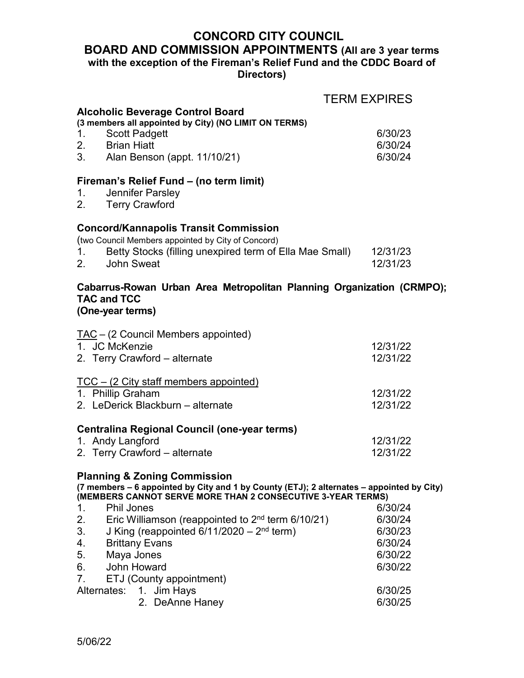# **CONCORD CITY COUNCIL BOARD AND COMMISSION APPOINTMENTS (All are 3 year terms with the exception of the Fireman's Relief Fund and the CDDC Board of Directors)**

|                                                                                                                                      | <b>TERM EXPIRES</b> |
|--------------------------------------------------------------------------------------------------------------------------------------|---------------------|
| <b>Alcoholic Beverage Control Board</b>                                                                                              |                     |
| (3 members all appointed by City) (NO LIMIT ON TERMS)                                                                                |                     |
| 1.<br><b>Scott Padgett</b><br>2. Brian Hiatt                                                                                         | 6/30/23             |
| 3. Alan Benson (appt. 11/10/21)                                                                                                      | 6/30/24<br>6/30/24  |
|                                                                                                                                      |                     |
| Fireman's Relief Fund - (no term limit)                                                                                              |                     |
| Jennifer Parsley<br>1.                                                                                                               |                     |
| 2. Terry Crawford                                                                                                                    |                     |
| <b>Concord/Kannapolis Transit Commission</b>                                                                                         |                     |
| (two Council Members appointed by City of Concord)                                                                                   |                     |
| Betty Stocks (filling unexpired term of Ella Mae Small)<br>1.                                                                        | 12/31/23            |
| 2. John Sweat                                                                                                                        | 12/31/23            |
|                                                                                                                                      |                     |
| Cabarrus-Rowan Urban Area Metropolitan Planning Organization (CRMPO);                                                                |                     |
| <b>TAC and TCC</b>                                                                                                                   |                     |
| (One-year terms)                                                                                                                     |                     |
| TAC - (2 Council Members appointed)                                                                                                  |                     |
| 1. JC McKenzie                                                                                                                       | 12/31/22            |
| 2. Terry Crawford - alternate                                                                                                        | 12/31/22            |
|                                                                                                                                      |                     |
| <u> TCC – (2 City staff members appointed)</u><br>1. Phillip Graham                                                                  | 12/31/22            |
| 2. LeDerick Blackburn – alternate                                                                                                    | 12/31/22            |
|                                                                                                                                      |                     |
| <b>Centralina Regional Council (one-year terms)</b>                                                                                  |                     |
| 1. Andy Langford                                                                                                                     | 12/31/22            |
| 2. Terry Crawford - alternate                                                                                                        | 12/31/22            |
|                                                                                                                                      |                     |
| <b>Planning &amp; Zoning Commission</b><br>(7 members – 6 appointed by City and 1 by County (ETJ); 2 alternates – appointed by City) |                     |
| (MEMBERS CANNOT SERVE MORE THAN 2 CONSECUTIVE 3-YEAR TERMS)                                                                          |                     |
| <b>Phil Jones</b><br>1.                                                                                                              | 6/30/24             |
| Eric Williamson (reappointed to $2nd$ term 6/10/21)<br>2.                                                                            | 6/30/24             |
| J King (reappointed $6/11/2020 - 2nd$ term)<br>3.                                                                                    | 6/30/23             |
| <b>Brittany Evans</b><br>4.                                                                                                          | 6/30/24             |
| 5.<br>Maya Jones                                                                                                                     | 6/30/22             |
| 6.<br><b>John Howard</b>                                                                                                             | 6/30/22             |
| 7.<br>ETJ (County appointment)                                                                                                       |                     |
| Alternates:<br>1. Jim Hays                                                                                                           | 6/30/25             |
| 2. DeAnne Haney                                                                                                                      | 6/30/25             |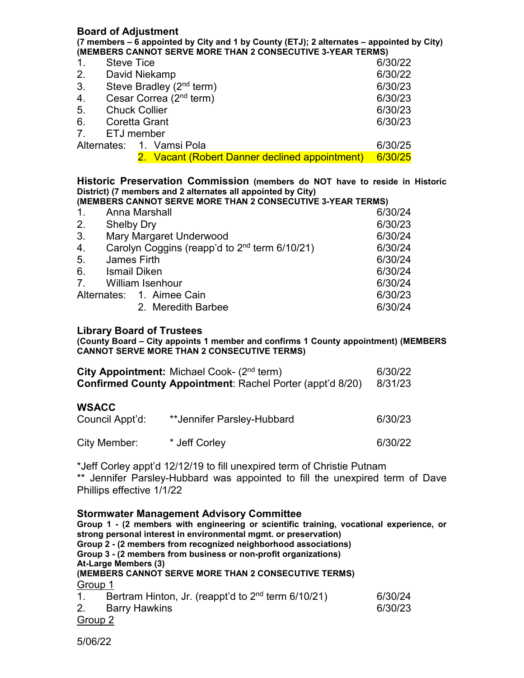#### **Board of Adjustment (7 members – 6 appointed by City and 1 by County (ETJ); 2 alternates – appointed by City) (MEMBERS CANNOT SERVE MORE THAN 2 CONSECUTIVE 3-YEAR TERMS)** 1. Steve Tice 6/30/22 2. David Niekamp 6/30/22 3. Steve Bradley  $(2^{nd} \text{ term})$  6/30/23 4. Cesar Correa  $(2^{nd}$  term) 6/30/23 5. Chuck Collier 6/30/23 6. Coretta Grant 6/30/23 7. ETJ member Alternates: 1. Vamsi Pola 6/30/25 2. Vacant (Robert Danner declined appointment) 6/30/25

**Historic Preservation Commission (members do NOT have to reside in Historic District) (7 members and 2 alternates all appointed by City)**

**(MEMBERS CANNOT SERVE MORE THAN 2 CONSECUTIVE 3-YEAR TERMS)**

| 1.          | Anna Marshall                                             | 6/30/24 |
|-------------|-----------------------------------------------------------|---------|
| 2.          | <b>Shelby Dry</b>                                         | 6/30/23 |
| 3.          | Mary Margaret Underwood                                   | 6/30/24 |
| 4.          | Carolyn Coggins (reapp'd to 2 <sup>nd</sup> term 6/10/21) | 6/30/24 |
| 5.          | James Firth                                               | 6/30/24 |
| 6.          | <b>Ismail Diken</b>                                       | 6/30/24 |
| $7_{\cdot}$ | <b>William Isenhour</b>                                   | 6/30/24 |
|             | Alternates: 1. Aimee Cain                                 | 6/30/23 |
|             | 2. Meredith Barbee                                        | 6/30/24 |

#### **Library Board of Trustees**

**(County Board – City appoints 1 member and confirms 1 County appointment) (MEMBERS CANNOT SERVE MORE THAN 2 CONSECUTIVE TERMS)**

|                                 | City Appointment: Michael Cook- (2 <sup>nd</sup> term)<br><b>Confirmed County Appointment: Rachel Porter (appt'd 8/20)</b> | 6/30/22<br>8/31/23 |
|---------------------------------|----------------------------------------------------------------------------------------------------------------------------|--------------------|
| <b>WSACC</b><br>Council Appt'd: | **Jennifer Parsley-Hubbard                                                                                                 | 6/30/23            |
| City Member:                    | * Jeff Corley                                                                                                              | 6/30/22            |

\*Jeff Corley appt'd 12/12/19 to fill unexpired term of Christie Putnam \*\* Jennifer Parsley-Hubbard was appointed to fill the unexpired term of Dave Phillips effective 1/1/22

**Stormwater Management Advisory Committee Group 1 - (2 members with engineering or scientific training, vocational experience, or strong personal interest in environmental mgmt. or preservation) Group 2 - (2 members from recognized neighborhood associations) Group 3 - (2 members from business or non-profit organizations) At-Large Members (3) (MEMBERS CANNOT SERVE MORE THAN 2 CONSECUTIVE TERMS)** Group 1 1. Bertram Hinton, Jr. (reappt'd to  $2<sup>nd</sup>$  term  $6/10/21$ ) 6/30/24 2. Barry Hawkins **6/30/23** Group 2

5/06/22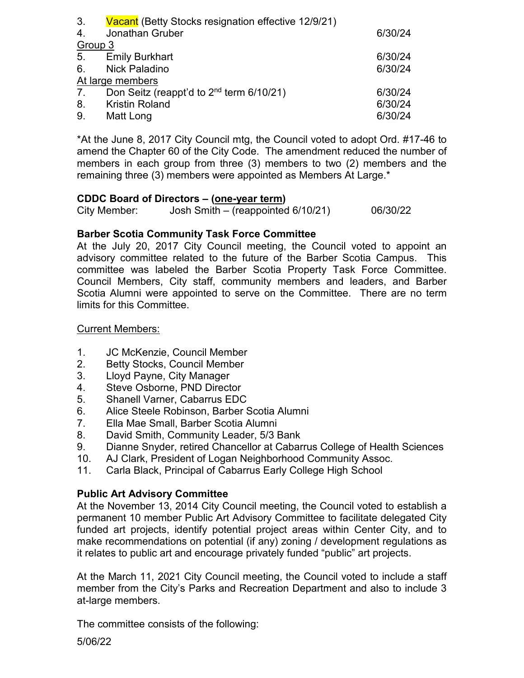| 6/30/24 |
|---------|
|         |
| 6/30/24 |
| 6/30/24 |
|         |
| 6/30/24 |
| 6/30/24 |
| 6/30/24 |
|         |

\*At the June 8, 2017 City Council mtg, the Council voted to adopt Ord. #17-46 to amend the Chapter 60 of the City Code. The amendment reduced the number of members in each group from three (3) members to two (2) members and the remaining three (3) members were appointed as Members At Large.\*

#### **CDDC Board of Directors – (one-year term)**

| City Member: | Josh Smith – (reappointed $6/10/21$ ) | 06/30/22 |
|--------------|---------------------------------------|----------|

### **Barber Scotia Community Task Force Committee**

At the July 20, 2017 City Council meeting, the Council voted to appoint an advisory committee related to the future of the Barber Scotia Campus. This committee was labeled the Barber Scotia Property Task Force Committee. Council Members, City staff, community members and leaders, and Barber Scotia Alumni were appointed to serve on the Committee. There are no term limits for this Committee.

#### Current Members:

- 1. JC McKenzie, Council Member
- 2. Betty Stocks, Council Member
- 3. Lloyd Payne, City Manager
- 4. Steve Osborne, PND Director
- 5. Shanell Varner, Cabarrus EDC
- 6. Alice Steele Robinson, Barber Scotia Alumni
- 7. Ella Mae Small, Barber Scotia Alumni
- 8. David Smith, Community Leader, 5/3 Bank
- 9. Dianne Snyder, retired Chancellor at Cabarrus College of Health Sciences
- 10. AJ Clark, President of Logan Neighborhood Community Assoc.
- 11. Carla Black, Principal of Cabarrus Early College High School

### **Public Art Advisory Committee**

At the November 13, 2014 City Council meeting, the Council voted to establish a permanent 10 member Public Art Advisory Committee to facilitate delegated City funded art projects, identify potential project areas within Center City, and to make recommendations on potential (if any) zoning / development regulations as it relates to public art and encourage privately funded "public" art projects.

At the March 11, 2021 City Council meeting, the Council voted to include a staff member from the City's Parks and Recreation Department and also to include 3 at-large members.

The committee consists of the following:

5/06/22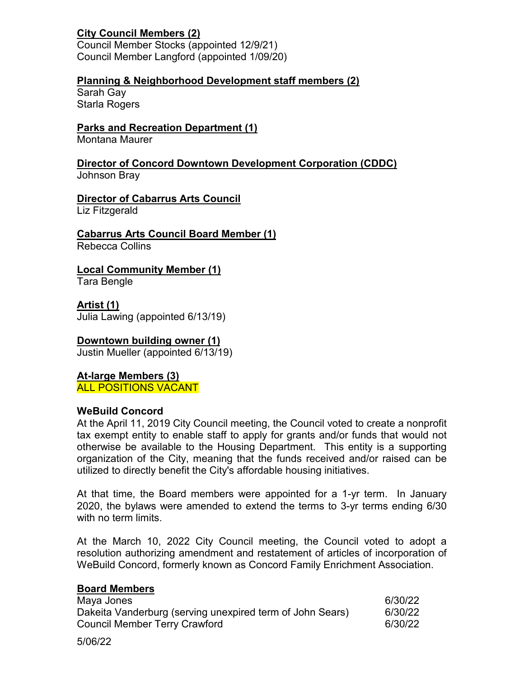## **City Council Members (2)**

Council Member Stocks (appointed 12/9/21) Council Member Langford (appointed 1/09/20)

## **Planning & Neighborhood Development staff members (2)**

Sarah Gay Starla Rogers

## **Parks and Recreation Department (1)**

Montana Maurer

**Director of Concord Downtown Development Corporation (CDDC)** Johnson Bray

# **Director of Cabarrus Arts Council**

Liz Fitzgerald

# **Cabarrus Arts Council Board Member (1)**

Rebecca Collins

## **Local Community Member (1)**

Tara Bengle

**Artist (1)** Julia Lawing (appointed 6/13/19)

## **Downtown building owner (1)**

Justin Mueller (appointed 6/13/19)

### **At-large Members (3)** ALL POSITIONS VACANT

### **WeBuild Concord**

At the April 11, 2019 City Council meeting, the Council voted to create a nonprofit tax exempt entity to enable staff to apply for grants and/or funds that would not otherwise be available to the Housing Department. This entity is a supporting organization of the City, meaning that the funds received and/or raised can be utilized to directly benefit the City's affordable housing initiatives.

At that time, the Board members were appointed for a 1-yr term. In January 2020, the bylaws were amended to extend the terms to 3-yr terms ending 6/30 with no term limits.

At the March 10, 2022 City Council meeting, the Council voted to adopt a resolution authorizing amendment and restatement of articles of incorporation of WeBuild Concord, formerly known as Concord Family Enrichment Association.

### **Board Members**

| Maya Jones                                                | 6/30/22 |
|-----------------------------------------------------------|---------|
| Dakeita Vanderburg (serving unexpired term of John Sears) | 6/30/22 |
| <b>Council Member Terry Crawford</b>                      | 6/30/22 |

5/06/22